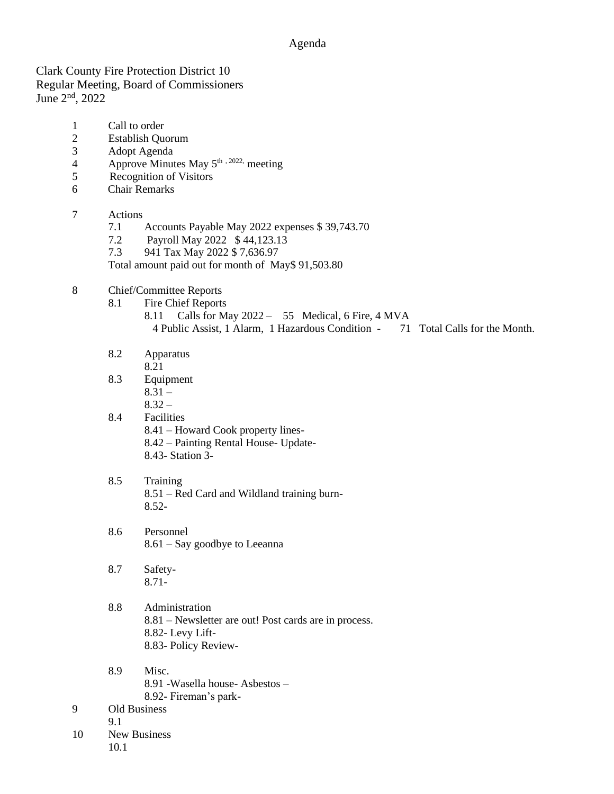## Agenda

Clark County Fire Protection District 10 Regular Meeting, Board of Commissioners June 2nd, 2022

- 1 Call to order
- 2 Establish Quorum
- 3 Adopt Agenda
- 4 Approve Minutes May  $5^{\text{th}}$ ,  $2022$ , meeting
- 5 Recognition of Visitors
- 6 Chair Remarks

## 7 Actions

- 7.1 Accounts Payable May 2022 expenses \$ 39,743.70
- 7.2 Payroll May 2022 \$ 44,123.13
- 7.3 941 Tax May 2022 \$ 7,636.97
- Total amount paid out for month of May\$ 91,503.80

## 8 Chief/Committee Reports

- 8.1 Fire Chief Reports
	- 8.11 Calls for May 2022 55 Medical, 6 Fire, 4 MVA
	- 4 Public Assist, 1 Alarm, 1 Hazardous Condition 71 Total Calls for the Month.
- 8.2 Apparatus
	- 8.21
- 8.3 Equipment  $8.31 -$ 
	- $8.32 -$
- 8.4 Facilities 8.41 – Howard Cook property lines-
	- 8.42 Painting Rental House- Update-
	- 8.43- Station 3-

## 8.5 Training 8.51 – Red Card and Wildland training burn-8.52-

- 8.6 Personnel 8.61 – Say goodbye to Leeanna
- 8.7 Safety-8.71-
- 8.8 Administration 8.81 – Newsletter are out! Post cards are in process. 8.82- Levy Lift-8.83- Policy Review-
- 8.9 Misc. 8.91 -Wasella house- Asbestos – 8.92- Fireman's park-
- 9 Old Business
- 
- 10 New Business 10.1

9.1